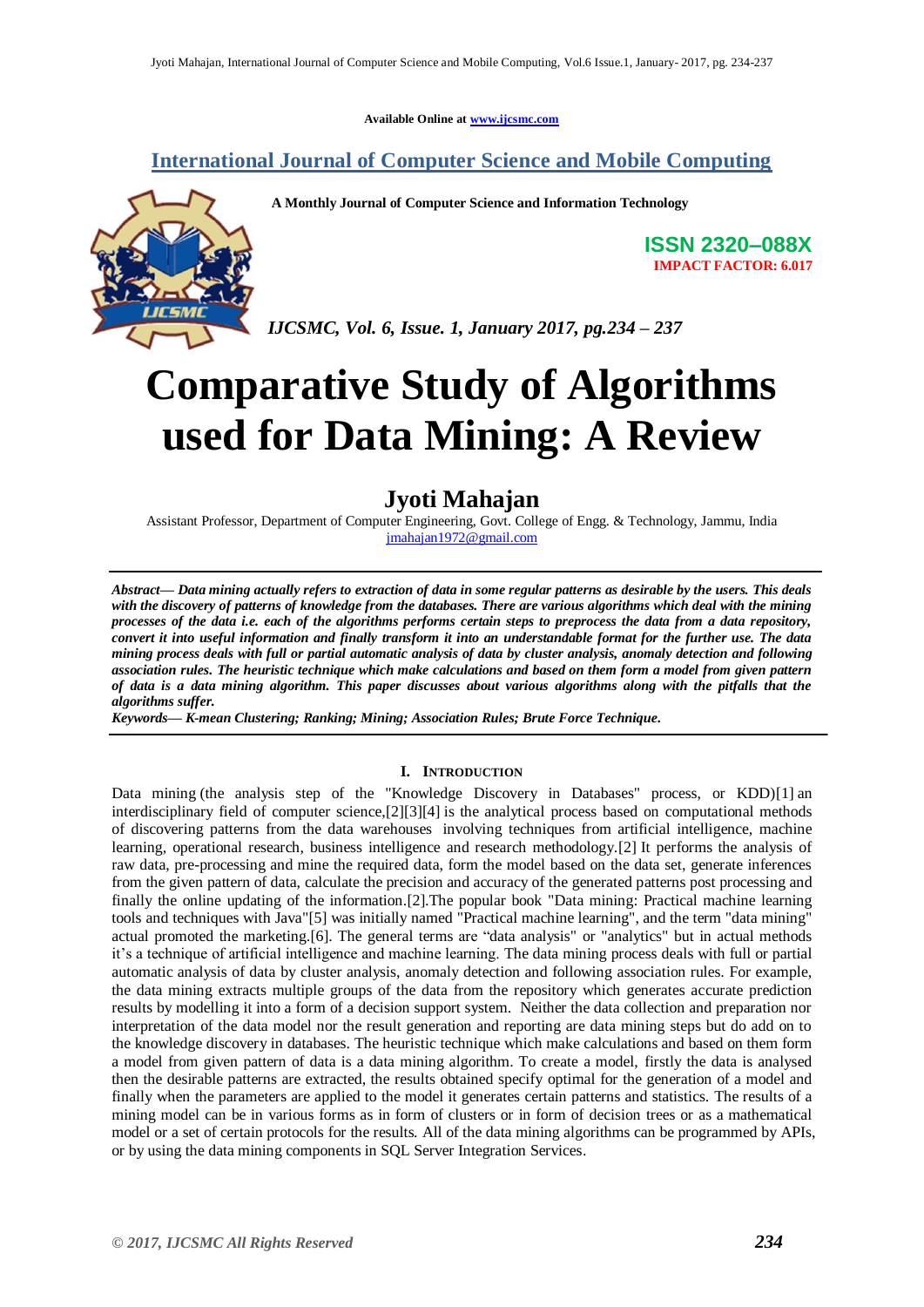**Available Online at www.ijcsmc.com**

### **International Journal of Computer Science and Mobile Computing**



**A Monthly Journal of Computer Science and Information Technology**

**ISSN 2320–088X IMPACT FACTOR: 6.017**

*IJCSMC, Vol. 6, Issue. 1, January 2017, pg.234 – 237*

# **Comparative Study of Algorithms used for Data Mining: A Review**

## **Jyoti Mahajan**

Assistant Professor, Department of Computer Engineering, Govt. College of Engg. & Technology, Jammu, India jmahajan1972@gmail.com

*Abstract— Data mining actually refers to extraction of data in some regular patterns as desirable by the users. This deals with the discovery of patterns of knowledge from the databases. There are various algorithms which deal with the mining processes of the data i.e. each of the algorithms performs certain steps to preprocess the data from a data repository, convert it into useful information and finally transform it into an understandable format for the further use. The data mining process deals with full or partial automatic analysis of data by cluster analysis, anomaly detection and following association rules. The heuristic technique which make calculations and based on them form a model from given pattern of data is a data mining algorithm. This paper discusses about various algorithms along with the pitfalls that the algorithms suffer.*

*Keywords— K-mean Clustering; Ranking; Mining; Association Rules; Brute Force Technique.*

#### **I. INTRODUCTION**

Data mining (the analysis step of the "Knowledge Discovery in Databases" process, or KDD)[1] an interdisciplinary field of computer science,[2][3][4] is the analytical process based on computational methods of discovering patterns from the data warehouses involving techniques from artificial intelligence, machine learning, operational research, business intelligence and research methodology.[2] It performs the analysis of raw data, pre-processing and mine the required data, form the model based on the data set, generate inferences from the given pattern of data, calculate the precision and accuracy of the generated patterns post processing and finally the online updating of the information.[2].The popular book "Data mining: Practical machine learning tools and techniques with Java"[5] was initially named "Practical machine learning", and the term "data mining" actual promoted the marketing.[6]. The general terms are "data analysis" or "analytics" but in actual methods it's a technique of artificial intelligence and machine learning. The data mining process deals with full or partial automatic analysis of data by cluster analysis, anomaly detection and following association rules. For example, the data mining extracts multiple groups of the data from the repository which generates accurate prediction results by modelling it into a form of a decision support system. Neither the data collection and preparation nor interpretation of the data model nor the result generation and reporting are data mining steps but do add on to the knowledge discovery in databases. The heuristic technique which make calculations and based on them form a model from given pattern of data is a data mining algorithm. To create a model, firstly the data is analysed then the desirable patterns are extracted, the results obtained specify optimal for the generation of a model and finally when the parameters are applied to the model it generates certain patterns and statistics. The results of a mining model can be in various forms as in form of clusters or in form of decision trees or as a mathematical model or a set of certain protocols for the results. All of the data mining algorithms can be programmed by APIs, or by using the data mining components in SQL Server Integration Services.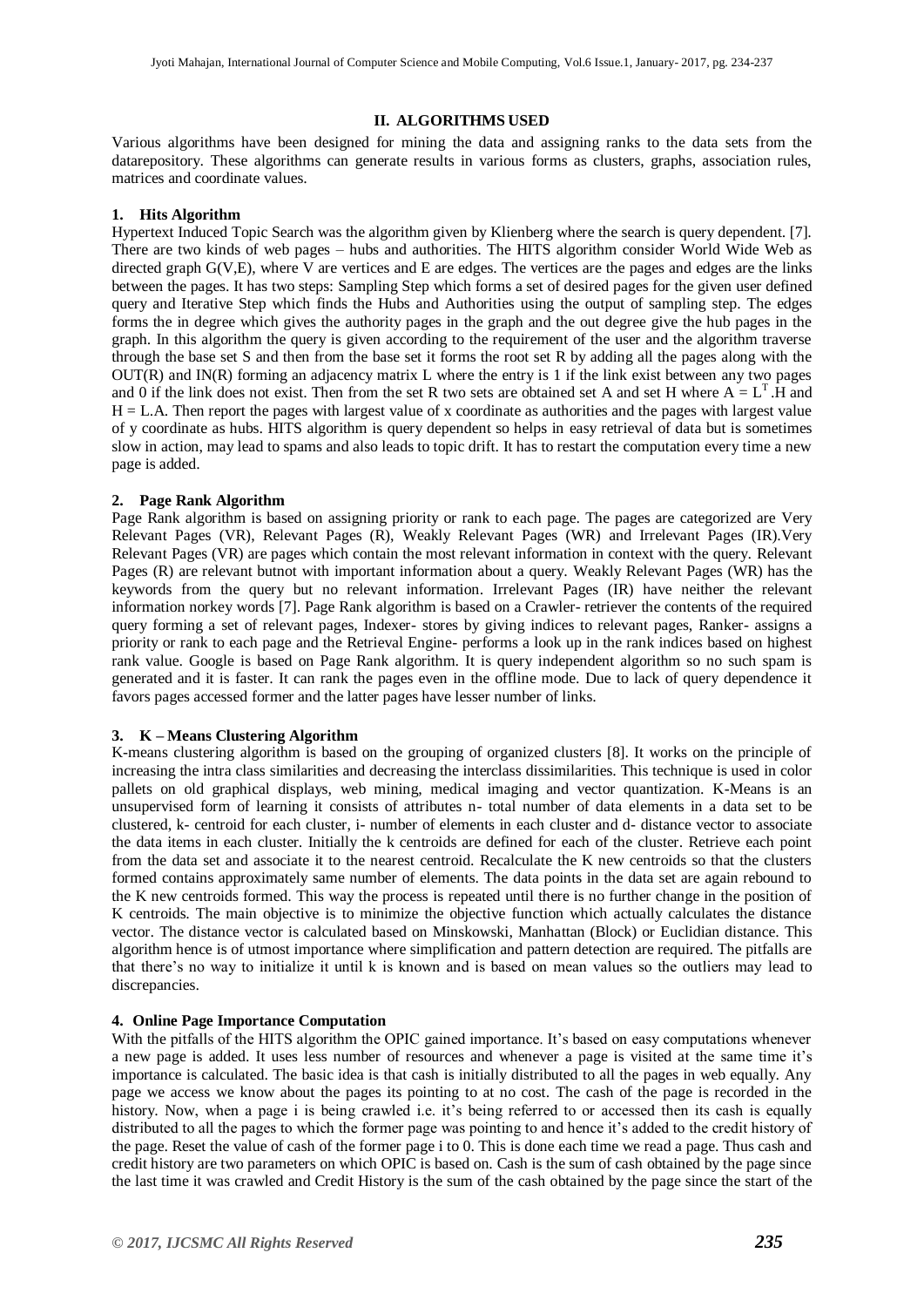#### **II. ALGORITHMS USED**

Various algorithms have been designed for mining the data and assigning ranks to the data sets from the datarepository. These algorithms can generate results in various forms as clusters, graphs, association rules, matrices and coordinate values.

#### **1. Hits Algorithm**

Hypertext Induced Topic Search was the algorithm given by Klienberg where the search is query dependent. [7]. There are two kinds of web pages – hubs and authorities. The HITS algorithm consider World Wide Web as directed graph G(V,E), where V are vertices and E are edges. The vertices are the pages and edges are the links between the pages. It has two steps: Sampling Step which forms a set of desired pages for the given user defined query and Iterative Step which finds the Hubs and Authorities using the output of sampling step. The edges forms the in degree which gives the authority pages in the graph and the out degree give the hub pages in the graph. In this algorithm the query is given according to the requirement of the user and the algorithm traverse through the base set S and then from the base set it forms the root set R by adding all the pages along with the OUT(R) and IN(R) forming an adjacency matrix L where the entry is 1 if the link exist between any two pages and 0 if the link does not exist. Then from the set R two sets are obtained set A and set H where  $A = L<sup>T</sup>$ . H and  $H = L.A$ . Then report the pages with largest value of x coordinate as authorities and the pages with largest value of y coordinate as hubs. HITS algorithm is query dependent so helps in easy retrieval of data but is sometimes slow in action, may lead to spams and also leads to topic drift. It has to restart the computation every time a new page is added.

#### **2. Page Rank Algorithm**

Page Rank algorithm is based on assigning priority or rank to each page. The pages are categorized are Very Relevant Pages (VR), Relevant Pages (R), Weakly Relevant Pages (WR) and Irrelevant Pages (IR).Very Relevant Pages (VR) are pages which contain the most relevant information in context with the query. Relevant Pages (R) are relevant butnot with important information about a query. Weakly Relevant Pages (WR) has the keywords from the query but no relevant information. Irrelevant Pages (IR) have neither the relevant information norkey words [7]. Page Rank algorithm is based on a Crawler- retriever the contents of the required query forming a set of relevant pages, Indexer- stores by giving indices to relevant pages, Ranker- assigns a priority or rank to each page and the Retrieval Engine- performs a look up in the rank indices based on highest rank value. Google is based on Page Rank algorithm. It is query independent algorithm so no such spam is generated and it is faster. It can rank the pages even in the offline mode. Due to lack of query dependence it favors pages accessed former and the latter pages have lesser number of links.

#### **3. K – Means Clustering Algorithm**

K-means clustering algorithm is based on the grouping of organized clusters [8]. It works on the principle of increasing the intra class similarities and decreasing the interclass dissimilarities. This technique is used in color pallets on old graphical displays, web mining, medical imaging and vector quantization. K-Means is an unsupervised form of learning it consists of attributes n- total number of data elements in a data set to be clustered, k- centroid for each cluster, i- number of elements in each cluster and d- distance vector to associate the data items in each cluster. Initially the k centroids are defined for each of the cluster. Retrieve each point from the data set and associate it to the nearest centroid. Recalculate the K new centroids so that the clusters formed contains approximately same number of elements. The data points in the data set are again rebound to the K new centroids formed. This way the process is repeated until there is no further change in the position of K centroids. The main objective is to minimize the objective function which actually calculates the distance vector. The distance vector is calculated based on Minskowski, Manhattan (Block) or Euclidian distance. This algorithm hence is of utmost importance where simplification and pattern detection are required. The pitfalls are that there's no way to initialize it until k is known and is based on mean values so the outliers may lead to discrepancies.

#### **4. Online Page Importance Computation**

With the pitfalls of the HITS algorithm the OPIC gained importance. It's based on easy computations whenever a new page is added. It uses less number of resources and whenever a page is visited at the same time it's importance is calculated. The basic idea is that cash is initially distributed to all the pages in web equally. Any page we access we know about the pages its pointing to at no cost. The cash of the page is recorded in the history. Now, when a page i is being crawled i.e. it's being referred to or accessed then its cash is equally distributed to all the pages to which the former page was pointing to and hence it's added to the credit history of the page. Reset the value of cash of the former page i to 0. This is done each time we read a page. Thus cash and credit history are two parameters on which OPIC is based on. Cash is the sum of cash obtained by the page since the last time it was crawled and Credit History is the sum of the cash obtained by the page since the start of the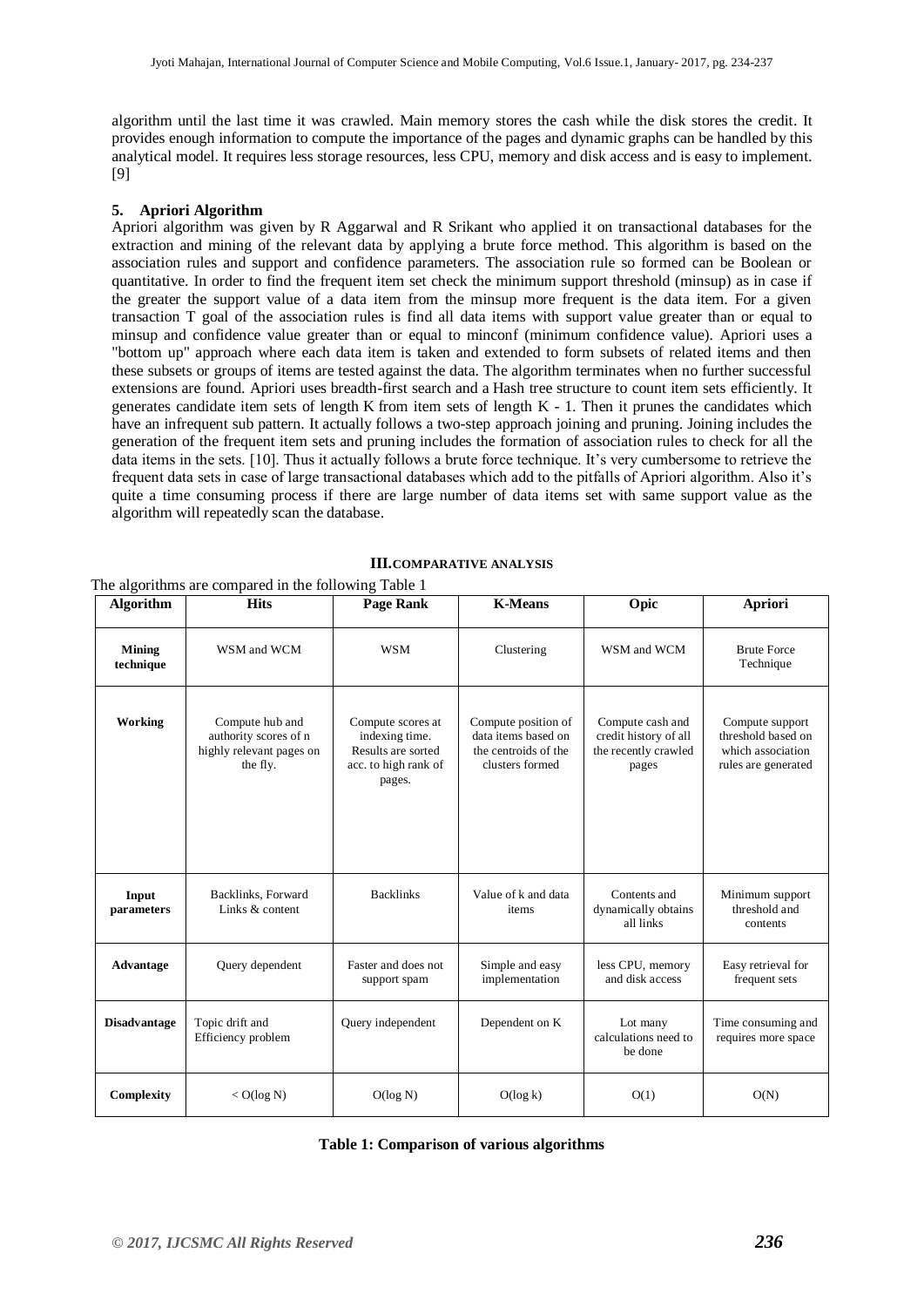algorithm until the last time it was crawled. Main memory stores the cash while the disk stores the credit. It provides enough information to compute the importance of the pages and dynamic graphs can be handled by this analytical model. It requires less storage resources, less CPU, memory and disk access and is easy to implement. [9]

#### **5. Apriori Algorithm**

The algorithms are compared in the following Table 1

Apriori algorithm was given by R Aggarwal and R Srikant who applied it on transactional databases for the extraction and mining of the relevant data by applying a brute force method. This algorithm is based on the association rules and support and confidence parameters. The association rule so formed can be Boolean or quantitative. In order to find the frequent item set check the minimum support threshold (minsup) as in case if the greater the support value of a data item from the minsup more frequent is the data item. For a given transaction T goal of the association rules is find all data items with support value greater than or equal to minsup and confidence value greater than or equal to minconf (minimum confidence value). Apriori uses a "bottom up" approach where each data item is taken and extended to form subsets of related items and then these subsets or groups of items are tested against the data. The algorithm terminates when no further successful extensions are found. Apriori uses [breadth-first search](http://en.wikipedia.org/wiki/Breadth-first_search) and a [Hash tree](http://en.wikipedia.org/wiki/Hash_tree_(persistent_data_structure)) structure to count item sets efficiently. It generates candidate item sets of length K from item sets of length K - 1. Then it prunes the candidates which have an infrequent sub pattern. It actually follows a two-step approach joining and pruning. Joining includes the generation of the frequent item sets and pruning includes the formation of association rules to check for all the data items in the sets. [10]. Thus it actually follows a brute force technique. It's very cumbersome to retrieve the frequent data sets in case of large transactional databases which add to the pitfalls of Apriori algorithm. Also it's quite a time consuming process if there are large number of data items set with same support value as the algorithm will repeatedly scan the database.

| <b>Algorithm</b>           | <b>Hits</b>                                                                      | <b>Page Rank</b>                                                                            | <b>K-Means</b>                                                                        | Opic                                                                       | Apriori                                                                           |
|----------------------------|----------------------------------------------------------------------------------|---------------------------------------------------------------------------------------------|---------------------------------------------------------------------------------------|----------------------------------------------------------------------------|-----------------------------------------------------------------------------------|
| <b>Mining</b><br>technique | WSM and WCM                                                                      | <b>WSM</b>                                                                                  | Clustering                                                                            | WSM and WCM                                                                | <b>Brute Force</b><br>Technique                                                   |
| Working                    | Compute hub and<br>authority scores of n<br>highly relevant pages on<br>the fly. | Compute scores at<br>indexing time.<br>Results are sorted<br>acc. to high rank of<br>pages. | Compute position of<br>data items based on<br>the centroids of the<br>clusters formed | Compute cash and<br>credit history of all<br>the recently crawled<br>pages | Compute support<br>threshold based on<br>which association<br>rules are generated |
| Input<br>parameters        | Backlinks, Forward<br>Links & content                                            | <b>Backlinks</b>                                                                            | Value of k and data<br>items                                                          | Contents and<br>dynamically obtains<br>all links                           | Minimum support<br>threshold and<br>contents                                      |
| Advantage                  | Query dependent                                                                  | Faster and does not<br>support spam                                                         | Simple and easy<br>implementation                                                     | less CPU, memory<br>and disk access                                        | Easy retrieval for<br>frequent sets                                               |
| <b>Disadvantage</b>        | Topic drift and<br>Efficiency problem                                            | Query independent                                                                           | Dependent on K                                                                        | Lot many<br>calculations need to<br>be done                                | Time consuming and<br>requires more space                                         |
| Complexity                 | $<$ O(log N)                                                                     | O(log N)                                                                                    | O(log k)                                                                              | O(1)                                                                       | O(N)                                                                              |

#### **III.COMPARATIVE ANALYSIS**

**Table 1: Comparison of various algorithms**